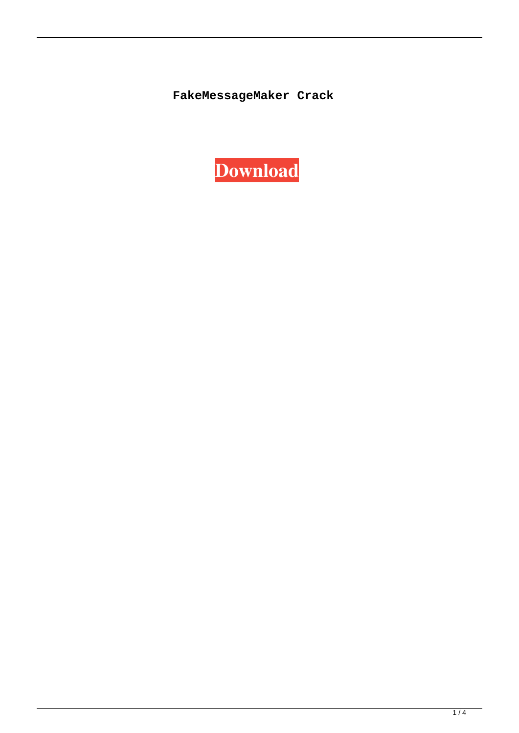**FakeMessageMaker Crack** 

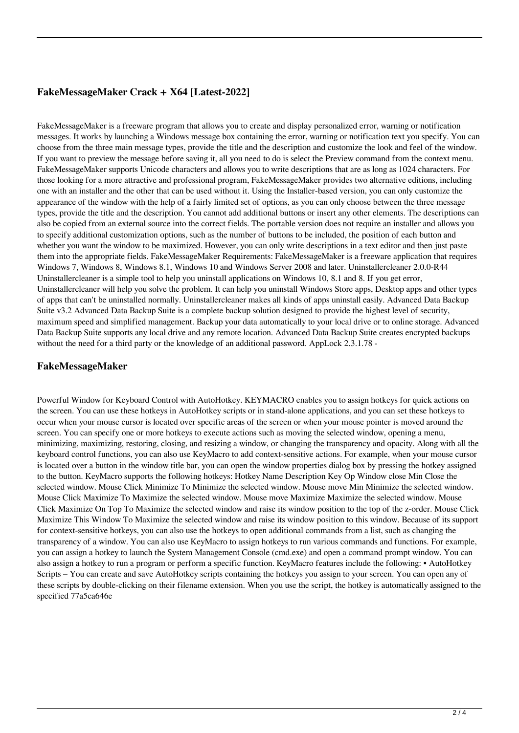# **FakeMessageMaker Crack + X64 [Latest-2022]**

FakeMessageMaker is a freeware program that allows you to create and display personalized error, warning or notification messages. It works by launching a Windows message box containing the error, warning or notification text you specify. You can choose from the three main message types, provide the title and the description and customize the look and feel of the window. If you want to preview the message before saving it, all you need to do is select the Preview command from the context menu. FakeMessageMaker supports Unicode characters and allows you to write descriptions that are as long as 1024 characters. For those looking for a more attractive and professional program, FakeMessageMaker provides two alternative editions, including one with an installer and the other that can be used without it. Using the Installer-based version, you can only customize the appearance of the window with the help of a fairly limited set of options, as you can only choose between the three message types, provide the title and the description. You cannot add additional buttons or insert any other elements. The descriptions can also be copied from an external source into the correct fields. The portable version does not require an installer and allows you to specify additional customization options, such as the number of buttons to be included, the position of each button and whether you want the window to be maximized. However, you can only write descriptions in a text editor and then just paste them into the appropriate fields. FakeMessageMaker Requirements: FakeMessageMaker is a freeware application that requires Windows 7, Windows 8, Windows 8.1, Windows 10 and Windows Server 2008 and later. Uninstallercleaner 2.0.0-R44 Uninstallercleaner is a simple tool to help you uninstall applications on Windows 10, 8.1 and 8. If you get error, Uninstallercleaner will help you solve the problem. It can help you uninstall Windows Store apps, Desktop apps and other types of apps that can't be uninstalled normally. Uninstallercleaner makes all kinds of apps uninstall easily. Advanced Data Backup Suite v3.2 Advanced Data Backup Suite is a complete backup solution designed to provide the highest level of security, maximum speed and simplified management. Backup your data automatically to your local drive or to online storage. Advanced Data Backup Suite supports any local drive and any remote location. Advanced Data Backup Suite creates encrypted backups without the need for a third party or the knowledge of an additional password. AppLock 2.3.1.78 -

## **FakeMessageMaker**

Powerful Window for Keyboard Control with AutoHotkey. KEYMACRO enables you to assign hotkeys for quick actions on the screen. You can use these hotkeys in AutoHotkey scripts or in stand-alone applications, and you can set these hotkeys to occur when your mouse cursor is located over specific areas of the screen or when your mouse pointer is moved around the screen. You can specify one or more hotkeys to execute actions such as moving the selected window, opening a menu, minimizing, maximizing, restoring, closing, and resizing a window, or changing the transparency and opacity. Along with all the keyboard control functions, you can also use KeyMacro to add context-sensitive actions. For example, when your mouse cursor is located over a button in the window title bar, you can open the window properties dialog box by pressing the hotkey assigned to the button. KeyMacro supports the following hotkeys: Hotkey Name Description Key Op Window close Min Close the selected window. Mouse Click Minimize To Minimize the selected window. Mouse move Min Minimize the selected window. Mouse Click Maximize To Maximize the selected window. Mouse move Maximize Maximize the selected window. Mouse Click Maximize On Top To Maximize the selected window and raise its window position to the top of the z-order. Mouse Click Maximize This Window To Maximize the selected window and raise its window position to this window. Because of its support for context-sensitive hotkeys, you can also use the hotkeys to open additional commands from a list, such as changing the transparency of a window. You can also use KeyMacro to assign hotkeys to run various commands and functions. For example, you can assign a hotkey to launch the System Management Console (cmd.exe) and open a command prompt window. You can also assign a hotkey to run a program or perform a specific function. KeyMacro features include the following: • AutoHotkey Scripts – You can create and save AutoHotkey scripts containing the hotkeys you assign to your screen. You can open any of these scripts by double-clicking on their filename extension. When you use the script, the hotkey is automatically assigned to the specified 77a5ca646e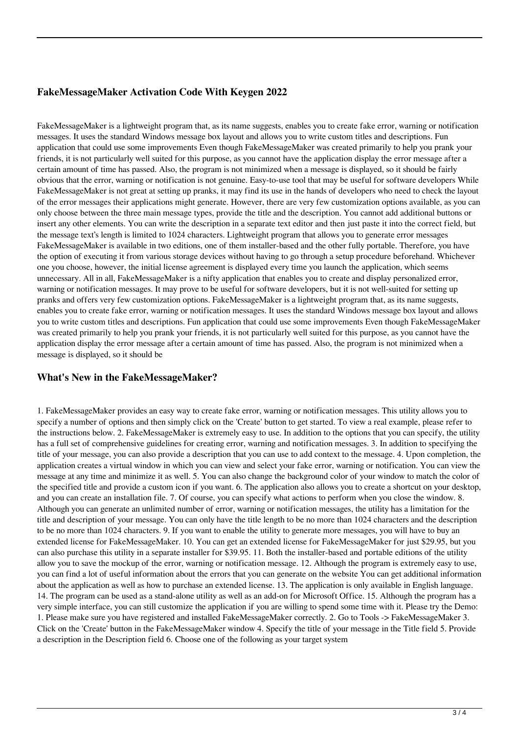## **FakeMessageMaker Activation Code With Keygen 2022**

FakeMessageMaker is a lightweight program that, as its name suggests, enables you to create fake error, warning or notification messages. It uses the standard Windows message box layout and allows you to write custom titles and descriptions. Fun application that could use some improvements Even though FakeMessageMaker was created primarily to help you prank your friends, it is not particularly well suited for this purpose, as you cannot have the application display the error message after a certain amount of time has passed. Also, the program is not minimized when a message is displayed, so it should be fairly obvious that the error, warning or notification is not genuine. Easy-to-use tool that may be useful for software developers While FakeMessageMaker is not great at setting up pranks, it may find its use in the hands of developers who need to check the layout of the error messages their applications might generate. However, there are very few customization options available, as you can only choose between the three main message types, provide the title and the description. You cannot add additional buttons or insert any other elements. You can write the description in a separate text editor and then just paste it into the correct field, but the message text's length is limited to 1024 characters. Lightweight program that allows you to generate error messages FakeMessageMaker is available in two editions, one of them installer-based and the other fully portable. Therefore, you have the option of executing it from various storage devices without having to go through a setup procedure beforehand. Whichever one you choose, however, the initial license agreement is displayed every time you launch the application, which seems unnecessary. All in all, FakeMessageMaker is a nifty application that enables you to create and display personalized error, warning or notification messages. It may prove to be useful for software developers, but it is not well-suited for setting up pranks and offers very few customization options. FakeMessageMaker is a lightweight program that, as its name suggests, enables you to create fake error, warning or notification messages. It uses the standard Windows message box layout and allows you to write custom titles and descriptions. Fun application that could use some improvements Even though FakeMessageMaker was created primarily to help you prank your friends, it is not particularly well suited for this purpose, as you cannot have the application display the error message after a certain amount of time has passed. Also, the program is not minimized when a message is displayed, so it should be

## **What's New in the FakeMessageMaker?**

1. FakeMessageMaker provides an easy way to create fake error, warning or notification messages. This utility allows you to specify a number of options and then simply click on the 'Create' button to get started. To view a real example, please refer to the instructions below. 2. FakeMessageMaker is extremely easy to use. In addition to the options that you can specify, the utility has a full set of comprehensive guidelines for creating error, warning and notification messages. 3. In addition to specifying the title of your message, you can also provide a description that you can use to add context to the message. 4. Upon completion, the application creates a virtual window in which you can view and select your fake error, warning or notification. You can view the message at any time and minimize it as well. 5. You can also change the background color of your window to match the color of the specified title and provide a custom icon if you want. 6. The application also allows you to create a shortcut on your desktop, and you can create an installation file. 7. Of course, you can specify what actions to perform when you close the window. 8. Although you can generate an unlimited number of error, warning or notification messages, the utility has a limitation for the title and description of your message. You can only have the title length to be no more than 1024 characters and the description to be no more than 1024 characters. 9. If you want to enable the utility to generate more messages, you will have to buy an extended license for FakeMessageMaker. 10. You can get an extended license for FakeMessageMaker for just \$29.95, but you can also purchase this utility in a separate installer for \$39.95. 11. Both the installer-based and portable editions of the utility allow you to save the mockup of the error, warning or notification message. 12. Although the program is extremely easy to use, you can find a lot of useful information about the errors that you can generate on the website You can get additional information about the application as well as how to purchase an extended license. 13. The application is only available in English language. 14. The program can be used as a stand-alone utility as well as an add-on for Microsoft Office. 15. Although the program has a very simple interface, you can still customize the application if you are willing to spend some time with it. Please try the Demo: 1. Please make sure you have registered and installed FakeMessageMaker correctly. 2. Go to Tools -> FakeMessageMaker 3. Click on the 'Create' button in the FakeMessageMaker window 4. Specify the title of your message in the Title field 5. Provide a description in the Description field 6. Choose one of the following as your target system